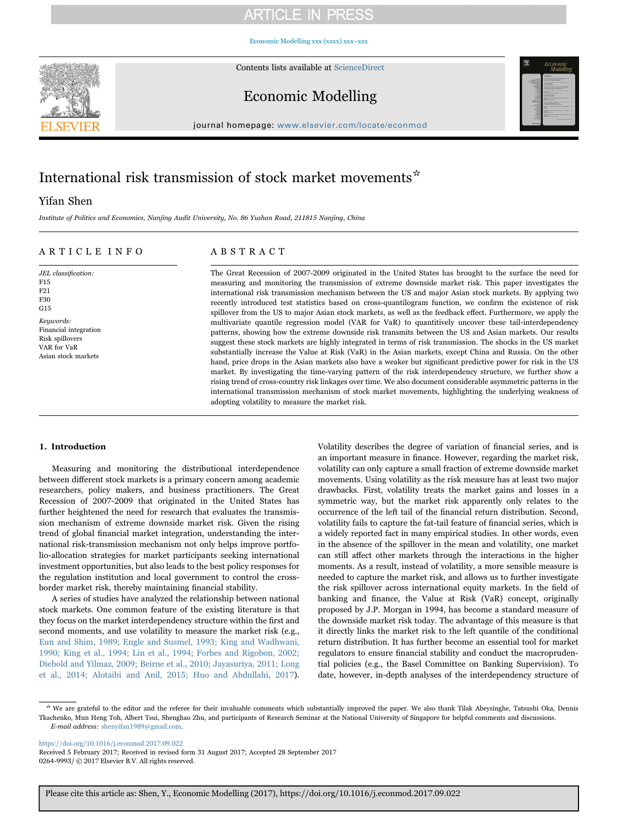## **ARTICLE IN PRESS**

[Economic Modelling xxx \(xxxx\) xxx–xxx](https://doi.org/10.1016/j.econmod.2017.09.022)

Contents lists available at [ScienceDirect](http://www.sciencedirect.com/science/journal/02649993)



Economic Modelling



journal homepage: [www.elsevier.com/locate/econmod](http://www.elsevier.com/locate/econmod)

## International risk transmission of stock market movements  $\hat{r}$

#### Yifan Shen

Institute of Politics and Economics, Nanjing Audit University, No. 86 Yushan Road, 211815 Nanjing, China

#### ARTICLE INFO

JEL classification: F15 F21 F30 G15 Keywords: Financial integration Risk spillovers VAR for VaR Asian stock markets

### ABSTRACT

The Great Recession of 2007-2009 originated in the United States has brought to the surface the need for measuring and monitoring the transmission of extreme downside market risk. This paper investigates the international risk transmission mechanism between the US and major Asian stock markets. By applying two recently introduced test statistics based on cross-quantilogram function, we confirm the existence of risk spillover from the US to major Asian stock markets, as well as the feedback effect. Furthermore, we apply the multivariate quantile regression model (VAR for VaR) to quantitively uncover these tail-interdependency patterns, showing how the extreme downside risk transmits between the US and Asian markets. Our results suggest these stock markets are highly integrated in terms of risk transmission. The shocks in the US market substantially increase the Value at Risk (VaR) in the Asian markets, except China and Russia. On the other hand, price drops in the Asian markets also have a weaker but significant predictive power for risk in the US market. By investigating the time-varying pattern of the risk interdependency structure, we further show a rising trend of cross-country risk linkages over time. We also document considerable asymmetric patterns in the international transmission mechanism of stock market movements, highlighting the underlying weakness of adopting volatility to measure the market risk.

#### 1. Introduction

Measuring and monitoring the distributional interdependence between different stock markets is a primary concern among academic researchers, policy makers, and business practitioners. The Great Recession of 2007-2009 that originated in the United States has further heightened the need for research that evaluates the transmission mechanism of extreme downside market risk. Given the rising trend of global financial market integration, understanding the international risk-transmission mechanism not only helps improve portfolio-allocation strategies for market participants seeking international investment opportunities, but also leads to the best policy responses for the regulation institution and local government to control the crossborder market risk, thereby maintaining financial stability.

A series of studies have analyzed the relationship between national stock markets. One common feature of the existing literature is that they focus on the market interdependency structure within the first and second moments, and use volatility to measure the market risk (e.g., Eun and Shim, 1989; Engle and Susmel, 1993; King and Wadhwani, 1990; King et al., 1994; Lin et al., 1994; Forbes and Rigobon, 2002; Diebold and Yilmaz, 2009; Beirne et al., 2010; Jayasuriya, 2011; Long et al., 2014; Alotaibi and Anil, 2015; Huo and Abdullahi, 2017).

Volatility describes the degree of variation of financial series, and is an important measure in finance. However, regarding the market risk, volatility can only capture a small fraction of extreme downside market movements. Using volatility as the risk measure has at least two major drawbacks. First, volatility treats the market gains and losses in a symmetric way, but the market risk apparently only relates to the occurrence of the left tail of the financial return distribution. Second, volatility fails to capture the fat-tail feature of financial series, which is a widely reported fact in many empirical studies. In other words, even in the absence of the spillover in the mean and volatility, one market can still affect other markets through the interactions in the higher moments. As a result, instead of volatility, a more sensible measure is needed to capture the market risk, and allows us to further investigate the risk spillover across international equity markets. In the field of banking and finance, the Value at Risk (VaR) concept, originally proposed by J.P. Morgan in 1994, has become a standard measure of the downside market risk today. The advantage of this measure is that it directly links the market risk to the left quantile of the conditional return distribution. It has further become an essential tool for market regulators to ensure financial stability and conduct the macroprudential policies (e.g., the Basel Committee on Banking Supervision). To date, however, in-depth analyses of the interdependency structure of

☆ We are grateful to the editor and the referee for their invaluable comments which substantially improved the paper. We also thank Tilak Abeysinghe, Tatsushi Oka, Dennis Tkachenko, Mun Heng Toh, Albert Tsui, Shenghao Zhu, and participants of Research Seminar at the National University of Singapore for helpful comments and discussions. E-mail address: shenyifan1989@gmail.com.

<https://doi.org/10.1016/j.econmod.2017.09.022>

Received 5 February 2017; Received in revised form 31 August 2017; Accepted 28 September 2017 0264-9993/ © 2017 Elsevier B.V. All rights reserved.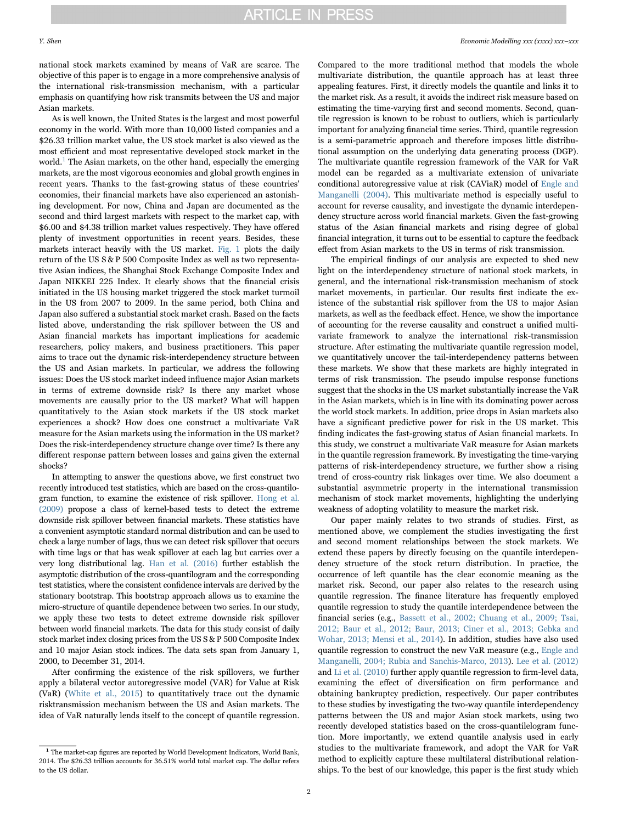national stock markets examined by means of VaR are scarce. The objective of this paper is to engage in a more comprehensive analysis of the international risk-transmission mechanism, with a particular emphasis on quantifying how risk transmits between the US and major Asian markets.

As is well known, the United States is the largest and most powerful economy in the world. With more than 10,000 listed companies and a \$26.33 trillion market value, the US stock market is also viewed as the most efficient and most representative developed stock market in the world.<sup>1</sup> The Asian markets, on the other hand, especially the emerging markets, are the most vigorous economies and global growth engines in recent years. Thanks to the fast-growing status of these countries' economies, their financial markets have also experienced an astonishing development. For now, China and Japan are documented as the second and third largest markets with respect to the market cap, with \$6.00 and \$4.38 trillion market values respectively. They have offered plenty of investment opportunities in recent years. Besides, these markets interact heavily with the US market. Fig. 1 plots the daily return of the US S & P 500 Composite Index as well as two representative Asian indices, the Shanghai Stock Exchange Composite Index and Japan NIKKEI 225 Index. It clearly shows that the financial crisis initiated in the US housing market triggered the stock market turmoil in the US from 2007 to 2009. In the same period, both China and Japan also suffered a substantial stock market crash. Based on the facts listed above, understanding the risk spillover between the US and Asian financial markets has important implications for academic researchers, policy makers, and business practitioners. This paper aims to trace out the dynamic risk-interdependency structure between the US and Asian markets. In particular, we address the following issues: Does the US stock market indeed influence major Asian markets in terms of extreme downside risk? Is there any market whose movements are causally prior to the US market? What will happen quantitatively to the Asian stock markets if the US stock market experiences a shock? How does one construct a multivariate VaR measure for the Asian markets using the information in the US market? Does the risk-interdependency structure change over time? Is there any different response pattern between losses and gains given the external shocks?

In attempting to answer the questions above, we first construct two recently introduced test statistics, which are based on the cross-quantilogram function, to examine the existence of risk spillover. Hong et al. (2009) propose a class of kernel-based tests to detect the extreme downside risk spillover between financial markets. These statistics have a convenient asymptotic standard normal distribution and can be used to check a large number of lags, thus we can detect risk spillover that occurs with time lags or that has weak spillover at each lag but carries over a very long distributional lag. Han et al. (2016) further establish the asymptotic distribution of the cross-quantilogram and the corresponding test statistics, where the consistent confidence intervals are derived by the stationary bootstrap. This bootstrap approach allows us to examine the micro-structure of quantile dependence between two series. In our study, we apply these two tests to detect extreme downside risk spillover between world financial markets. The data for this study consist of daily stock market index closing prices from the US S & P 500 Composite Index and 10 major Asian stock indices. The data sets span from January 1, 2000, to December 31, 2014.

After confirming the existence of the risk spillovers, we further apply a bilateral vector autoregressive model (VAR) for Value at Risk (VaR) (White et al., 2015) to quantitatively trace out the dynamic risktransmission mechanism between the US and Asian markets. The idea of VaR naturally lends itself to the concept of quantile regression.

Compared to the more traditional method that models the whole multivariate distribution, the quantile approach has at least three appealing features. First, it directly models the quantile and links it to the market risk. As a result, it avoids the indirect risk measure based on estimating the time-varying first and second moments. Second, quantile regression is known to be robust to outliers, which is particularly important for analyzing financial time series. Third, quantile regression is a semi-parametric approach and therefore imposes little distributional assumption on the underlying data generating process (DGP). The multivariate quantile regression framework of the VAR for VaR model can be regarded as a multivariate extension of univariate conditional autoregressive value at risk (CAViaR) model of Engle and Manganelli (2004). This multivariate method is especially useful to account for reverse causality, and investigate the dynamic interdependency structure across world financial markets. Given the fast-growing status of the Asian financial markets and rising degree of global financial integration, it turns out to be essential to capture the feedback effect from Asian markets to the US in terms of risk transmission.

The empirical findings of our analysis are expected to shed new light on the interdependency structure of national stock markets, in general, and the international risk-transmission mechanism of stock market movements, in particular. Our results first indicate the existence of the substantial risk spillover from the US to major Asian markets, as well as the feedback effect. Hence, we show the importance of accounting for the reverse causality and construct a unified multivariate framework to analyze the international risk-transmission structure. After estimating the multivariate quantile regression model, we quantitatively uncover the tail-interdependency patterns between these markets. We show that these markets are highly integrated in terms of risk transmission. The pseudo impulse response functions suggest that the shocks in the US market substantially increase the VaR in the Asian markets, which is in line with its dominating power across the world stock markets. In addition, price drops in Asian markets also have a significant predictive power for risk in the US market. This finding indicates the fast-growing status of Asian financial markets. In this study, we construct a multivariate VaR measure for Asian markets in the quantile regression framework. By investigating the time-varying patterns of risk-interdependency structure, we further show a rising trend of cross-country risk linkages over time. We also document a substantial asymmetric property in the international transmission mechanism of stock market movements, highlighting the underlying weakness of adopting volatility to measure the market risk.

Our paper mainly relates to two strands of studies. First, as mentioned above, we complement the studies investigating the first and second moment relationships between the stock markets. We extend these papers by directly focusing on the quantile interdependency structure of the stock return distribution. In practice, the occurrence of left quantile has the clear economic meaning as the market risk. Second, our paper also relates to the research using quantile regression. The finance literature has frequently employed quantile regression to study the quantile interdependence between the financial series (e.g., Bassett et al., 2002; Chuang et al., 2009; Tsai, 2012; Baur et al., 2012; Baur, 2013; Ciner et al., 2013; Gebka and Wohar, 2013; Mensi et al., 2014). In addition, studies have also used quantile regression to construct the new VaR measure (e.g., Engle and Manganelli, 2004; Rubia and Sanchis-Marco, 2013). Lee et al. (2012) and Li et al. (2010) further apply quantile regression to firm-level data, examining the effect of diversification on firm performance and obtaining bankruptcy prediction, respectively. Our paper contributes to these studies by investigating the two-way quantile interdependency patterns between the US and major Asian stock markets, using two recently developed statistics based on the cross-quantilelogram function. More importantly, we extend quantile analysis used in early studies to the multivariate framework, and adopt the VAR for VaR method to explicitly capture these multilateral distributional relationships. To the best of our knowledge, this paper is the first study which

<sup>&</sup>lt;sup>1</sup> The market-cap figures are reported by World Development Indicators, World Bank, 2014. The \$26.33 trillion accounts for 36.51% world total market cap. The dollar refers to the US dollar.